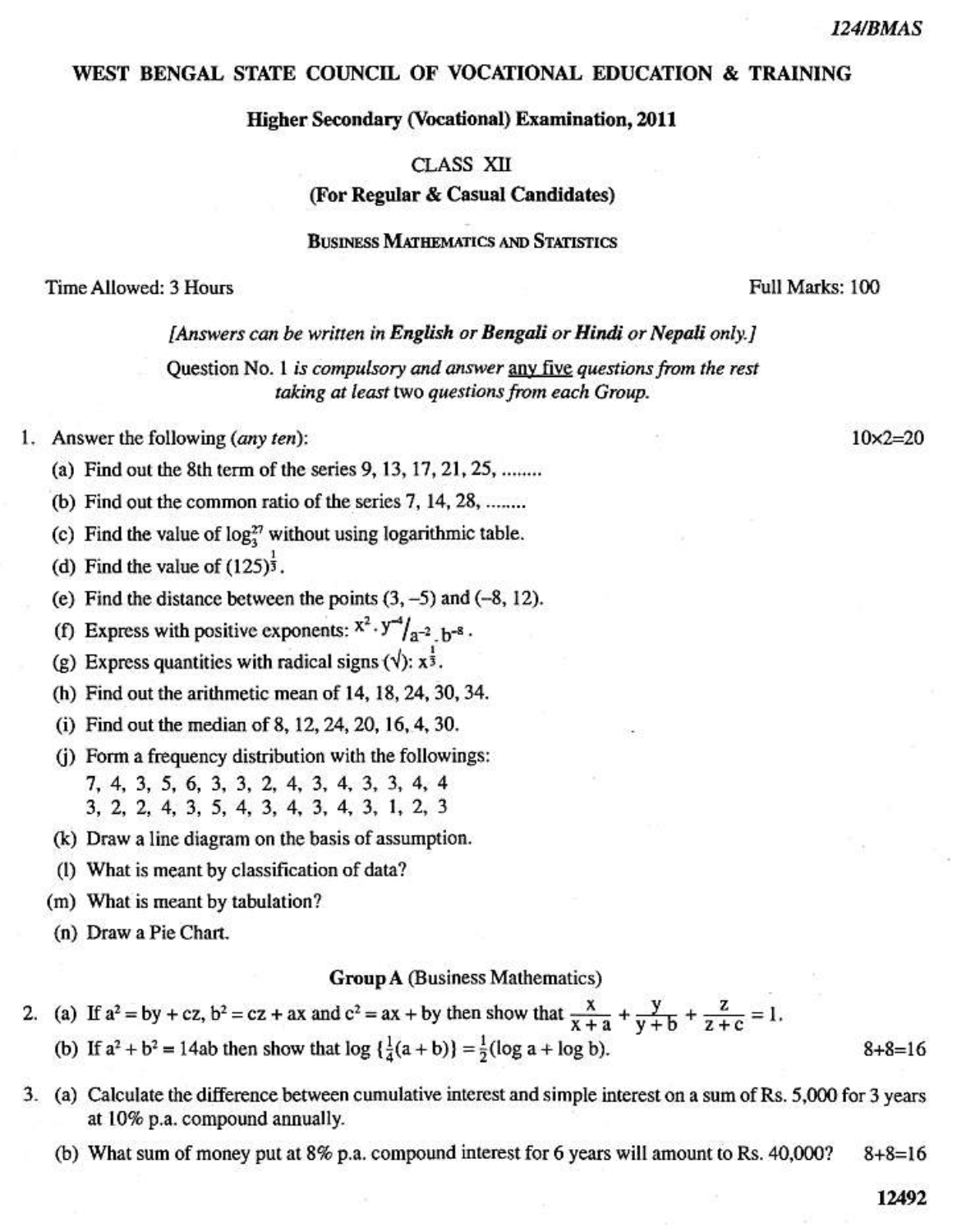$10\times2=20$ 

#### WEST BENGAL STATE COUNCIL OF VOCATIONAL EDUCATION & TRAINING

### **Higher Secondary (Vocational) Examination, 2011**

# CLASS XII (For Regular & Casual Candidates)

## **BUSINESS MATHEMATICS AND STATISTICS**

#### Time Allowed: 3 Hours

### Full Marks: 100

#### [Answers can be written in English or Bengali or Hindi or Nepali only.]

Question No. 1 is compulsory and answer any five questions from the rest taking at least two questions from each Group.

- 1. Answer the following (any ten):
	- (a) Find out the 8th term of the series 9, 13, 17, 21, 25, ........
	- (b) Find out the common ratio of the series  $7, 14, 28, \dots$
	- (c) Find the value of  $\log_{3}^{27}$  without using logarithmic table.
	- (d) Find the value of  $(125)^{\frac{1}{3}}$ .
	- (e) Find the distance between the points  $(3, -5)$  and  $(-8, 12)$ .
	- (f) Express with positive exponents:  $x^2 \tcdot y^{-4}/a^{-2}$  b<sup>-8</sup>.
	- (g) Express quantities with radical signs  $(\sqrt{x})$ :  $x^{\frac{1}{3}}$ .
	- (h) Find out the arithmetic mean of 14, 18, 24, 30, 34.
	- (i) Find out the median of 8, 12, 24, 20, 16, 4, 30.
	- (j) Form a frequency distribution with the followings: 7, 4, 3, 5, 6, 3, 3, 2, 4, 3, 4, 3, 3, 4, 4 3, 2, 2, 4, 3, 5, 4, 3, 4, 3, 4, 3, 1, 2, 3
	- (k) Draw a line diagram on the basis of assumption.
	- (1) What is meant by classification of data?
	- (m) What is meant by tabulation?
	- (n) Draw a Pie Chart.

### **Group A (Business Mathematics)**

- 2. (a) If  $a^2 = by + cz$ ,  $b^2 = cz + ax$  and  $c^2 = ax + by$  then show that  $\frac{x}{x+a} + \frac{y}{y+b} + \frac{z}{z+c} = 1$ . (b) If  $a^2 + b^2 = 14ab$  then show that  $\log \left\{ \frac{1}{4}(a+b) \right\} = \frac{1}{2}(\log a + \log b)$ .
- 3. (a) Calculate the difference between cumulative interest and simple interest on a sum of Rs. 5,000 for 3 years at 10% p.a. compound annually.
	- (b) What sum of money put at 8% p.a. compound interest for 6 years will amount to Rs. 40,000?  $8 + 8 = 16$

12492

 $8 + 8 = 16$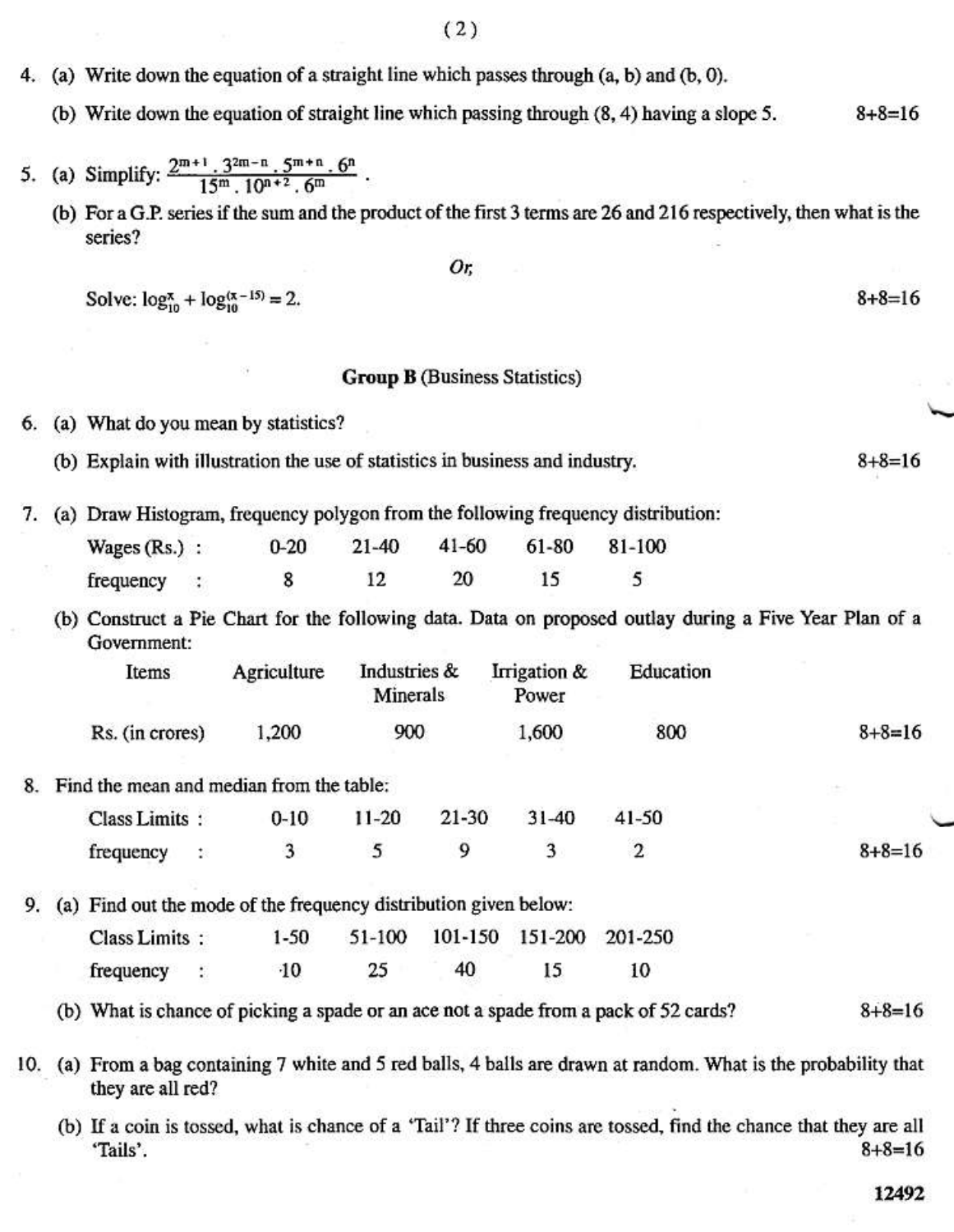- 4. (a) Write down the equation of a straight line which passes through (a, b) and (b, 0).
	- (b) Write down the equation of straight line which passing through (8, 4) having a slope 5.  $8 + 8 = 16$
- (a) Simplify:  $\frac{2^{m+1} \cdot 3^{2m-n} \cdot 5^{m+n} \cdot 6^n}{15^m \cdot 10^{n+2} \cdot 6^m}$ . 5.
	- (b) For a G.P. series if the sum and the product of the first 3 terms are 26 and 216 respectively, then what is the series?

Solve:  $\log_{10}^{\pi} + \log_{10}^{(\pi - 15)} = 2$ .

#### **Group B** (Business Statistics)

Or.

- 6. (a) What do you mean by statistics?
	- (b) Explain with illustration the use of statistics in business and industry.
- 7. (a) Draw Histogram, frequency polygon from the following frequency distribution:
	- $0 20$  $21 - 40$  $41 - 60$ 61-80 81-100 Wages $(Rs.)$ : 12 20 15 5 frequency 8
	- (b) Construct a Pie Chart for the following data. Data on proposed outlay during a Five Year Plan of a Government:

| Items           | Agriculture | Industries &<br>Minerals | Irrigation &<br>Power | Education |              |
|-----------------|-------------|--------------------------|-----------------------|-----------|--------------|
| Rs. (in crores) | 1,200       | 900                      | 1,600                 | 800       | $8 + 8 = 16$ |

8. Find the mean and median from the table:

| Class Limits: | 0-10 11-20 21-30 31-40 41-50 |  |  |              |
|---------------|------------------------------|--|--|--------------|
| frequency :   |                              |  |  | $8 + 8 = 16$ |

9. (a) Find out the mode of the frequency distribution given below:

| Class Limits: | 1-50 |    | 51-100 101-150 151-200 201-250 |     |    |
|---------------|------|----|--------------------------------|-----|----|
| frequency :   | -10  | 25 | 40                             | 15. | 10 |

(b) What is chance of picking a spade or an ace not a spade from a pack of 52 cards?  $8 + 8 = 16$ 

10. (a) From a bag containing 7 white and 5 red balls, 4 balls are drawn at random. What is the probability that they are all red?

(b) If a coin is tossed, what is chance of a 'Tail'? If three coins are tossed, find the chance that they are all  $8 + 8 = 16$ 'Tails'.

 $8 + 8 = 16$ 

 $8 + 8 = 16$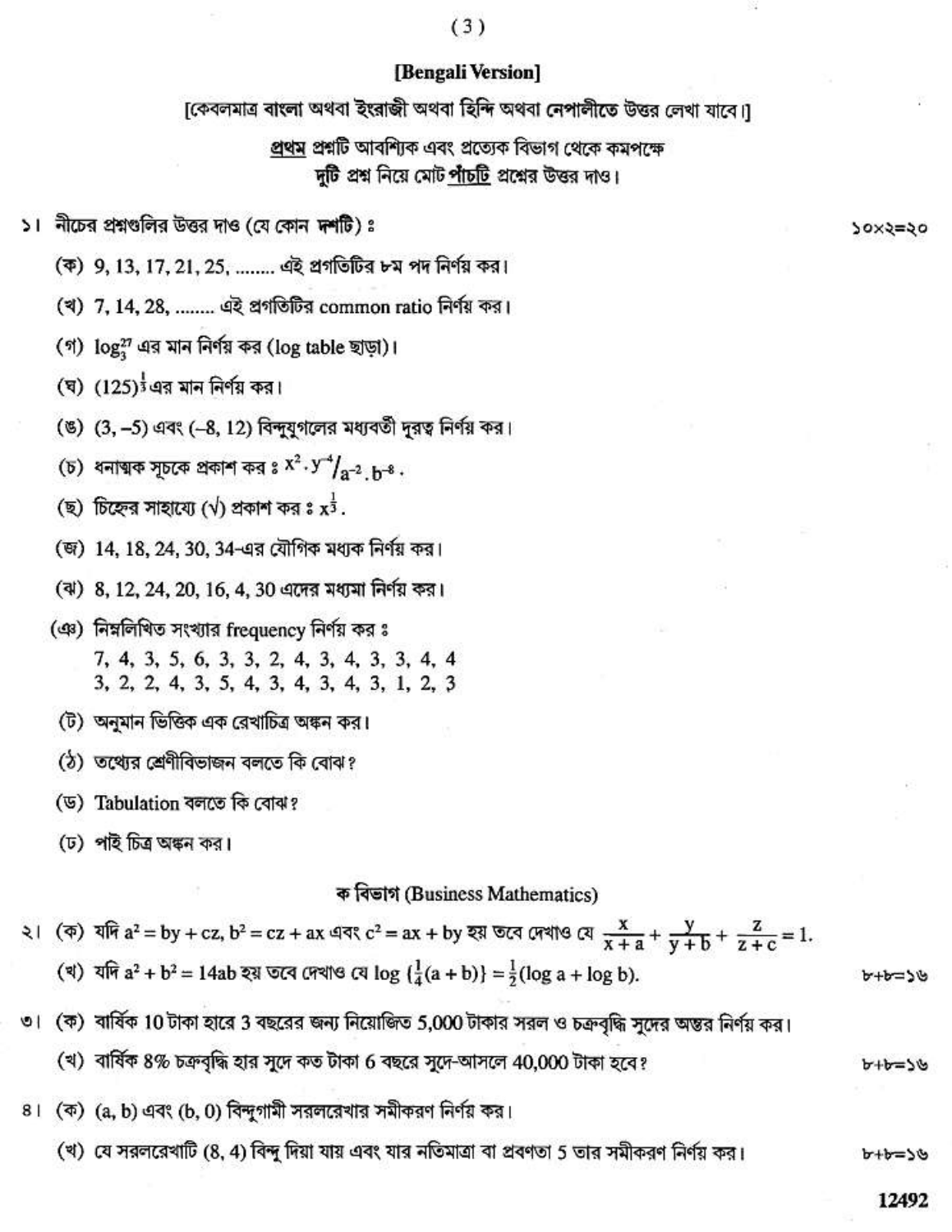## $(3)$

## [Bengali Version]

[কেবলমাত্র বাংলা অথবা ইংরাজী অথবা হিন্দি অথবা নেপালীতে উত্তর লেখা যাবে।]

প্রথম প্রশ্নটি আবশ্যিক এবং প্রত্যেক বিভাগ থেকে কমপক্ষে দুটি প্রশ্ন নিয়ে মোট পাঁচটি প্রশ্নের উত্তর দাও।

১। নীচের প্রশ্নগুলির উত্তর দাও (যে কোন দশটি) ঃ

(ক) 9, 13, 17, 21, 25, ........ এই প্রগতিটির ৮ম পদ নির্ণয় কর।

(খ) 7, 14, 28, ........ এই প্রগতিটির common ratio নির্ণয় কর।

(গ)  $log_2^{27}$  এর মান নির্ণয় কর (log table ছাড়া)।

(ঘ)  $(125)^{\frac{1}{3}}$ এর মান নির্ণয় কর।

(ঙ) (3, -5) এবং (-8, 12) বিন্দুযুগলের মধ্যবর্তী দূরত্ব নির্ণয় কর।

(চ) ধনাত্মক সূচকে প্রকাশ কর ঃ  $X^2 \cdot Y^4 / _{2}^2$  <sub>h</sub>-ঃ.

(ছ) চিহ্নের সাহায্যে ( $\sqrt{ }$ ) প্রকাশ কর ঃ  $x^{\frac{1}{3}}$ .

(জ) 14, 18, 24, 30, 34-এর যৌগিক মধ্যক নির্ণয় কর।

(ঝ) 8, 12, 24, 20, 16, 4, 30 এদের মধ্যমা নির্ণয় কর।

(এঃ) নিম্নলিখিত সংখ্যার frequency নির্ণয় কর ঃ 7, 4, 3, 5, 6, 3, 3, 2, 4, 3, 4, 3, 3, 4, 4 3, 2, 2, 4, 3, 5, 4, 3, 4, 3, 4, 3, 1, 2, 3

(ট) অনুমান ভিত্তিক এক রেখাচিত্র অঙ্কন কর।

ঠে) তথ্যের শ্রেণীবিভাজন বলতে কি বোঝ?

(ড) Tabulation বলতে কি বোঝ?

(ঢ) পাই চিত্র অঙ্কন কর।

ক বিভাগ (Business Mathematics)

| ২। (ক) যদি $a^2 = by + cz$ , $b^2 = cz + ax$ এবং $c^2 = ax + by$ হয় তবে দেখাও যে $\frac{x}{x+a} + \frac{y}{y+b} + \frac{z}{z+c} = 1$ . |             |
|-----------------------------------------------------------------------------------------------------------------------------------------|-------------|
| (খ) যদি $a^2 + b^2 = 14ab$ হয় তবে দেখাও যে log $\left(\frac{1}{4}(a + b)\right) = \frac{1}{2}(\log a + \log b)$ .                      | $b + b = b$ |

৩। (ক) বার্ষিক 10 টাকা হারে 3 বছরের জন্য নিয়োজিত 5,000 টাকার সরল ও চক্রবৃদ্ধি সুদের অন্তর নির্ণয় কর।

(খ) বার্ষিক 8% চক্রবৃদ্ধি হার সুদে কত টাকা 6 বছরে সুদে-আসলে 40,000 টাকা হবে?

৪। (ক) (a, b) এবং (b, 0) বিন্দুগামী সরলরেখার সমীকরণ নির্ণয় কর।

(খ) যে সরলরেখাটি (8, 4) বিন্দু দিয়া যায় এবং যার নতিমাত্রা বা প্রবণতা 5 তার সমীকরণ নির্ণয় কর।

**20x5=50** 

 $U = d+d$ 

৮+৮=১৬